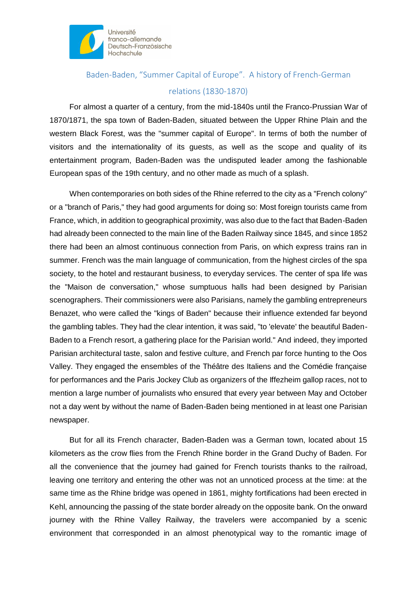

## Baden-Baden, "Summer Capital of Europe". A history of French-German relations (1830-1870)

For almost a quarter of a century, from the mid-1840s until the Franco-Prussian War of 1870/1871, the spa town of Baden-Baden, situated between the Upper Rhine Plain and the western Black Forest, was the "summer capital of Europe". In terms of both the number of visitors and the internationality of its guests, as well as the scope and quality of its entertainment program, Baden-Baden was the undisputed leader among the fashionable European spas of the 19th century, and no other made as much of a splash.

When contemporaries on both sides of the Rhine referred to the city as a "French colony" or a "branch of Paris," they had good arguments for doing so: Most foreign tourists came from France, which, in addition to geographical proximity, was also due to the fact that Baden-Baden had already been connected to the main line of the Baden Railway since 1845, and since 1852 there had been an almost continuous connection from Paris, on which express trains ran in summer. French was the main language of communication, from the highest circles of the spa society, to the hotel and restaurant business, to everyday services. The center of spa life was the "Maison de conversation," whose sumptuous halls had been designed by Parisian scenographers. Their commissioners were also Parisians, namely the gambling entrepreneurs Benazet, who were called the "kings of Baden" because their influence extended far beyond the gambling tables. They had the clear intention, it was said, "to 'elevate' the beautiful Baden-Baden to a French resort, a gathering place for the Parisian world." And indeed, they imported Parisian architectural taste, salon and festive culture, and French par force hunting to the Oos Valley. They engaged the ensembles of the Théâtre des Italiens and the Comédie française for performances and the Paris Jockey Club as organizers of the Iffezheim gallop races, not to mention a large number of journalists who ensured that every year between May and October not a day went by without the name of Baden-Baden being mentioned in at least one Parisian newspaper.

But for all its French character, Baden-Baden was a German town, located about 15 kilometers as the crow flies from the French Rhine border in the Grand Duchy of Baden. For all the convenience that the journey had gained for French tourists thanks to the railroad, leaving one territory and entering the other was not an unnoticed process at the time: at the same time as the Rhine bridge was opened in 1861, mighty fortifications had been erected in Kehl, announcing the passing of the state border already on the opposite bank. On the onward journey with the Rhine Valley Railway, the travelers were accompanied by a scenic environment that corresponded in an almost phenotypical way to the romantic image of